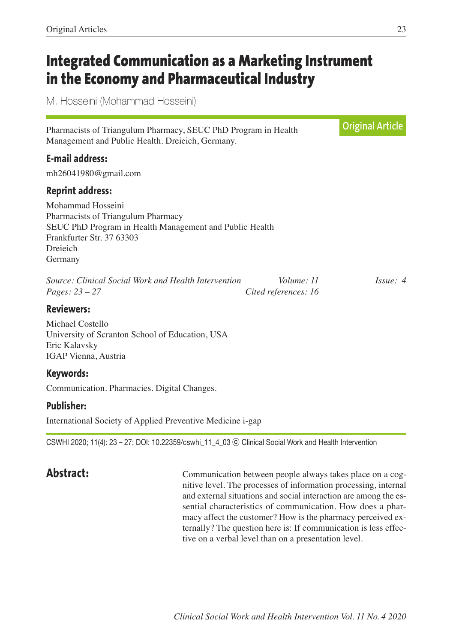# **Integrated Communication as a Marketing Instrument in the Economy and Pharmaceutical Industry**

M. Hosseini (Mohammad Hosseini)

Pharmacists of Triangulum Pharmacy, SEUC PhD Program in Health Management and Public Health. Dreieich, Germany.

# **E-mail address:**

mh26041980@gmail.com

### **Reprint address:**

Mohammad Hosseini Pharmacists of Triangulum Pharmacy SEUC PhD Program in Health Management and Public Health Frankfurter Str. 37 63303 Dreieich Germany

*Source: Clinical Social Work and Health Intervention Volume: 11 Issue: 4 Pages: 23 – 27 Cited references: 16*

### **Reviewers:**

Michael Costello University of Scranton School of Education, USA Eric Kalavsky IGAP Vienna, Austria

### **Keywords:**

Communication. Pharmacies. Digital Changes.

# **Publisher:**

International Society of Applied Preventive Medicine i-gap

CSWHI 2020; 11(4): 23 – 27; DOI: 10.22359/cswhi\_11\_4\_03 ⓒ Clinical Social Work and Health Intervention

**Abstract: Communication between people always takes place on a cog**nitive level. The processes of information processing, internal and external situations and social interaction are among the essential characteristics of communication. How does a pharmacy affect the customer? How is the pharmacy perceived externally? The question here is: If communication is less effective on a verbal level than on a presentation level.

**Original Article**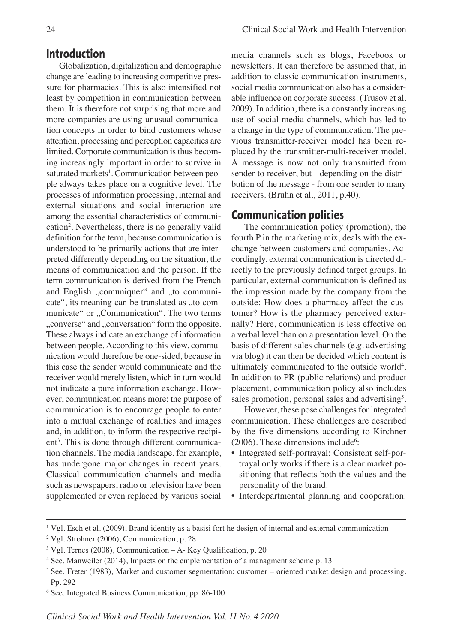### **Introduction**

Globalization, digitalization and demographic change are leading to increasing competitive pressure for pharmacies. This is also intensified not least by competition in communication between them. It is therefore not surprising that more and more companies are using unusual communication concepts in order to bind customers whose attention, processing and perception capacities are limited. Corporate communication is thus becoming increasingly important in order to survive in saturated markets<sup>1</sup>. Communication between people always takes place on a cognitive level. The processes of information processing, internal and external situations and social interaction are among the essential characteristics of communication<sup>2</sup>. Nevertheless, there is no generally valid definition for the term, because communication is understood to be primarily actions that are interpreted differently depending on the situation, the means of communication and the person. If the term communication is derived from the French and English "comuniquer" and "to communicate", its meaning can be translated as "to communicate" or "Communication". The two terms "converse" and "conversation" form the opposite. These always indicate an exchange of information between people. According to this view, communication would therefore be one-sided, because in this case the sender would communicate and the receiver would merely listen, which in turn would not indicate a pure information exchange. However, communication means more: the purpose of communication is to encourage people to enter into a mutual exchange of realities and images and, in addition, to inform the respective recipient 3 . This is done through different communication channels. The media landscape, for example, has undergone major changes in recent years. Classical communication channels and media such as newspapers, radio or television have been supplemented or even replaced by various social

media channels such as blogs, Facebook or newsletters. It can therefore be assumed that, in addition to classic communication instruments, social media communication also has a considerable influence on corporate success. (Trusov et al. 2009). In addition, there is a constantly increasing use of social media channels, which has led to a change in the type of communication. The previous transmitter-receiver model has been replaced by the transmitter-multi-receiver model. A message is now not only transmitted from sender to receiver, but - depending on the distribution of the message - from one sender to many receivers. (Bruhn et al., 2011, p.40).

# **Communication policies**

The communication policy (promotion), the fourth P in the marketing mix, deals with the exchange between customers and companies. Accordingly, external communication is directed directly to the previously defined target groups. In particular, external communication is defined as the impression made by the company from the outside: How does a pharmacy affect the customer? How is the pharmacy perceived externally? Here, communication is less effective on a verbal level than on a presentation level. On the basis of different sales channels (e.g. advertising via blog) it can then be decided which content is ultimately communicated to the outside world<sup>4</sup>. In addition to PR (public relations) and product placement, communication policy also includes sales promotion, personal sales and advertising<sup>5</sup>.

However, these pose challenges for integrated communication. These challenges are described by the five dimensions according to Kirchner  $(2006)$ . These dimensions include<sup>6</sup>:

- Integrated self-portrayal: Consistent self-portrayal only works if there is a clear market positioning that reflects both the values and the personality of the brand.
- Interdepartmental planning and cooperation:

<sup>1</sup> Vgl. Esch et al. (2009), Brand identity as a basisi fort he design of internal and external communication

<sup>2</sup> Vgl. Strohner (2006), Communication, p. 28

<sup>3</sup> Vgl. Ternes (2008), Communication – A- Key Qualification, p. 20

<sup>4</sup> See. Manweiler (2014), Impacts on the emplementation of a managment scheme p. 13

<sup>5</sup> See. Freter (1983), Market and customer segmentation: customer – oriented market design and processing. Pp. 292

<sup>6</sup> See. Integrated Business Communication, pp. 86-100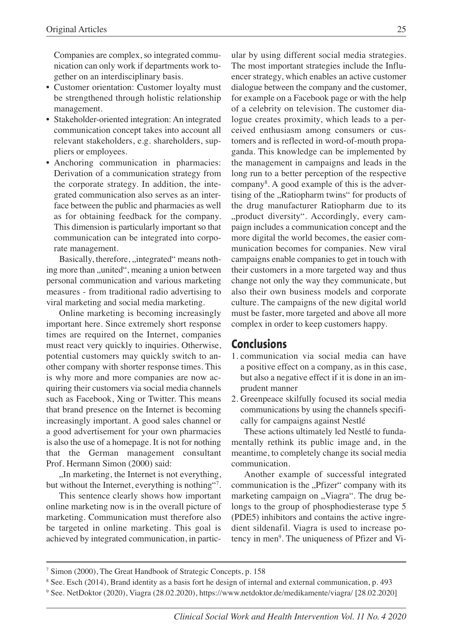Companies are complex, so integrated communication can only work if departments work together on an interdisciplinary basis.

- Customer orientation: Customer loyalty must be strengthened through holistic relationship management.
- Stakeholder-oriented integration: An integrated communication concept takes into account all relevant stakeholders, e.g. shareholders, suppliers or employees.
- Anchoring communication in pharmacies: Derivation of a communication strategy from the corporate strategy. In addition, the integrated communication also serves as an interface between the public and pharmacies as well as for obtaining feedback for the company. This dimension is particularly important so that communication can be integrated into corporate management.

Basically, therefore, "integrated" means nothing more than "united", meaning a union between personal communication and various marketing measures - from traditional radio advertising to viral marketing and social media marketing.

Online marketing is becoming increasingly important here. Since extremely short response times are required on the Internet, companies must react very quickly to inquiries. Otherwise, potential customers may quickly switch to another company with shorter response times. This is why more and more companies are now acquiring their customers via social media channels such as Facebook, Xing or Twitter. This means that brand presence on the Internet is becoming increasingly important. A good sales channel or a good advertisement for your own pharmacies is also the use of a homepage. It is not for nothing that the German management consultant Prof. Hermann Simon (2000) said:

 $n$ , In marketing, the Internet is not everything, but without the Internet, everything is nothing"?.

This sentence clearly shows how important online marketing now is in the overall picture of marketing. Communication must therefore also be targeted in online marketing. This goal is achieved by integrated communication, in particular by using different social media strategies. The most important strategies include the Influencer strategy, which enables an active customer dialogue between the company and the customer, for example on a Facebook page or with the help of a celebrity on television. The customer dialogue creates proximity, which leads to a perceived enthusiasm among consumers or customers and is reflected in word-of-mouth propaganda. This knowledge can be implemented by the management in campaigns and leads in the long run to a better perception of the respective company<sup>8</sup>. A good example of this is the advertising of the "Ratiopharm twins" for products of the drug manufacturer Ratiopharm due to its "product diversity". Accordingly, every campaign includes a communication concept and the more digital the world becomes, the easier communication becomes for companies. New viral campaigns enable companies to get in touch with their customers in a more targeted way and thus change not only the way they communicate, but also their own business models and corporate culture. The campaigns of the new digital world must be faster, more targeted and above all more complex in order to keep customers happy.

# **Conclusions**

- 1. communication via social media can have a positive effect on a company, as in this case, but also a negative effect if it is done in an imprudent manner
- 2. Greenpeace skilfully focused its social media communications by using the channels specifically for campaigns against Nestlé

These actions ultimately led Nestlé to fundamentally rethink its public image and, in the meantime, to completely change its social media communication.

Another example of successful integrated communication is the "Pfizer" company with its marketing campaign on "Viagra". The drug belongs to the group of phosphodiesterase type 5 (PDE5) inhibitors and contains the active ingredient sildenafil. Viagra is used to increase potency in men<sup>9</sup>. The uniqueness of Pfizer and Vi-

<sup>7</sup> Simon (2000), The Great Handbook of Strategic Concepts, p. 158

<sup>8</sup> See. Esch (2014), Brand identity as a basis fort he design of internal and external communication, p. 493

<sup>9</sup> See. NetDoktor (2020), Viagra (28.02.2020), https://www.netdoktor.de/medikamente/viagra/ [28.02.2020]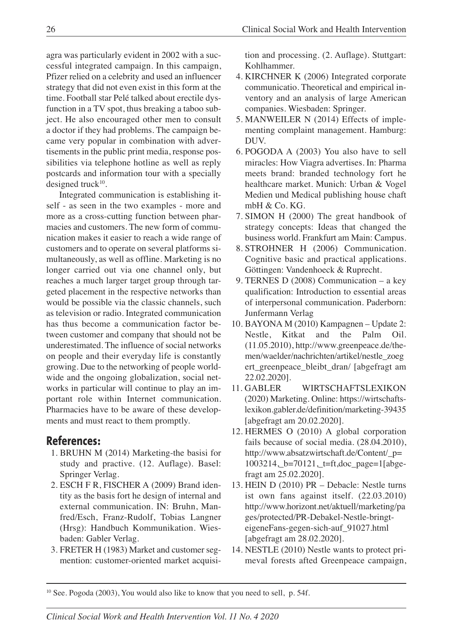agra was particularly evident in 2002 with a successful integrated campaign. In this campaign, Pfizer relied on a celebrity and used an influencer strategy that did not even exist in this form at the time. Football star Pelé talked about erectile dysfunction in a TV spot, thus breaking a taboo subject. He also encouraged other men to consult a doctor if they had problems. The campaign became very popular in combination with advertisements in the public print media, response possibilities via telephone hotline as well as reply postcards and information tour with a specially designed truck $10$ .

Integrated communication is establishing itself - as seen in the two examples - more and more as a cross-cutting function between pharmacies and customers. The new form of communication makes it easier to reach a wide range of customers and to operate on several platforms simultaneously, as well as offline. Marketing is no longer carried out via one channel only, but reaches a much larger target group through targeted placement in the respective networks than would be possible via the classic channels, such as television or radio. Integrated communication has thus become a communication factor between customer and company that should not be underestimated. The influence of social networks on people and their everyday life is constantly growing. Due to the networking of people worldwide and the ongoing globalization, social networks in particular will continue to play an important role within Internet communication. Pharmacies have to be aware of these developments and must react to them promptly.

# **References:**

- 1. BRUHN M (2014) Marketing-the basisi for study and practive. (12. Auflage). Basel: Springer Verlag.
- 2. ESCH F R, FISCHER A (2009) Brand identity as the basis fort he design of internal and external communication. IN: Bruhn, Manfred/Esch, Franz-Rudolf, Tobias Langner (Hrsg): Handbuch Kommunikation. Wiesbaden: Gabler Verlag.
- 3. FRETER H (1983) Market and customer segmention: customer-oriented market acquisi-

tion and processing. (2. Auflage). Stuttgart: Kohlhammer.

- 4. KIRCHNER K (2006) Integrated corporate communicatio. Theoretical and empirical inventory and an analysis of large American companies. Wiesbaden: Springer.
- 5. MANWEILER N (2014) Effects of implementing complaint management. Hamburg: DUV.
- 6. POGODA A (2003) You also have to sell miracles: How Viagra advertises. In: Pharma meets brand: branded technology fort he healthcare market. Munich: Urban & Vogel Medien und Medical publishing house chaft mbH & Co. KG.
- 7. SIMON H (2000) The great handbook of strategy concepts: Ideas that changed the business world. Frankfurt am Main: Campus.
- 8. STROHNER H (2006) Communication. Cognitive basic and practical applications. Göttingen: Vandenhoeck & Ruprecht.
- 9. TERNES D (2008) Communication a key qualification: Introduction to essential areas of interpersonal communication. Paderborn: Junfermann Verlag
- 10. BAYONA M (2010) Kampagnen Update 2: Nestle, Kitkat and the Palm Oil. (11.05.2010), http://www.greenpeace.de/themen/waelder/nachrichten/artikel/nestle\_zoeg ert\_greenpeace\_bleibt\_dran/ [abgefragt am 22.02.2020].
- 11. GABLER WIRTSCHAFTSLEXIKON (2020) Marketing. Online: https://wirtschaftslexikon.gabler.de/definition/marketing-39435 [abgefragt am 20.02.2020].
- 12. HERMES O (2010) A global corporation fails because of social media. (28.04.2010), http://www.absatzwirtschaft.de/Content/\_p= 1003214,\_b=70121,\_t=ft,doc\_page=1[abgefragt am 25.02.2020].
- 13. HEIN D (2010) PR Debacle: Nestle turns ist own fans against itself. (22.03.2010) http://www.horizont.net/aktuell/marketing/pa ges/protected/PR-Debakel-Nestle-bringteigeneFans-gegen-sich-auf\_91027.html [abgefragt am 28.02.2020].
- 14. NESTLE (2010) Nestle wants to protect primeval forests afted Greenpeace campaign,

<sup>&</sup>lt;sup>10</sup> See. Pogoda (2003), You would also like to know that you need to sell, p. 54f.